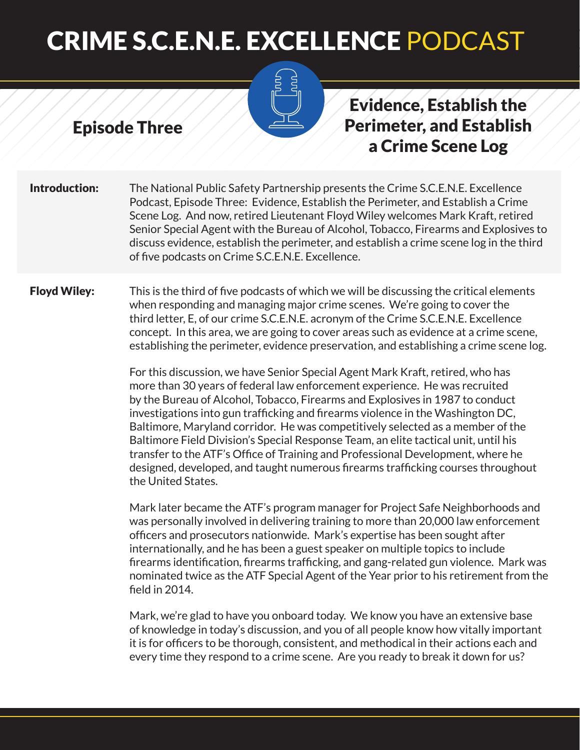### Episode Three

Evidence, Establish the Perimeter, and Establish a Crime Scene Log

- **Introduction:** The National Public Safety Partnership presents the Crime S.C.E.N.E. Excellence Podcast, Episode Three: Evidence, Establish the Perimeter, and Establish a Crime Scene Log. And now, retired Lieutenant Floyd Wiley welcomes Mark Kraft, retired Senior Special Agent with the Bureau of Alcohol, Tobacco, Firearms and Explosives to discuss evidence, establish the perimeter, and establish a crime scene log in the third of five podcasts on Crime S.C.E.N.E. Excellence.
- Floyd Wiley: This is the third of five podcasts of which we will be discussing the critical elements when responding and managing major crime scenes. We're going to cover the third letter, E, of our crime S.C.E.N.E. acronym of the Crime S.C.E.N.E. Excellence concept. In this area, we are going to cover areas such as evidence at a crime scene, establishing the perimeter, evidence preservation, and establishing a crime scene log.

For this discussion, we have Senior Special Agent Mark Kraft, retired, who has more than 30 years of federal law enforcement experience. He was recruited by the Bureau of Alcohol, Tobacco, Firearms and Explosives in 1987 to conduct investigations into gun trafficking and firearms violence in the Washington DC, Baltimore, Maryland corridor. He was competitively selected as a member of the Baltimore Field Division's Special Response Team, an elite tactical unit, until his transfer to the ATF's Office of Training and Professional Development, where he designed, developed, and taught numerous firearms trafficking courses throughout the United States.

Mark later became the ATF's program manager for Project Safe Neighborhoods and was personally involved in delivering training to more than 20,000 law enforcement officers and prosecutors nationwide. Mark's expertise has been sought after internationally, and he has been a guest speaker on multiple topics to include firearms identification, firearms trafficking, and gang-related gun violence. Mark was nominated twice as the ATF Special Agent of the Year prior to his retirement from the field in 2014.

Mark, we're glad to have you onboard today. We know you have an extensive base of knowledge in today's discussion, and you of all people know how vitally important it is for officers to be thorough, consistent, and methodical in their actions each and every time they respond to a crime scene. Are you ready to break it down for us?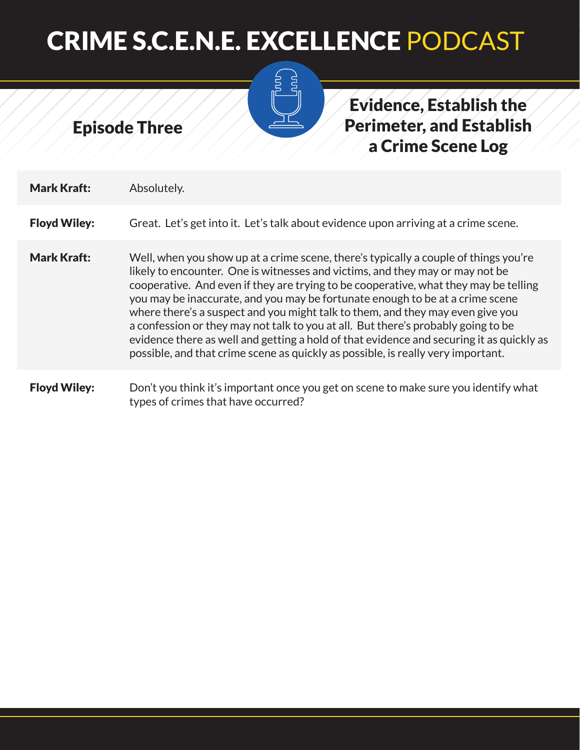

Evidence, Establish the Perimeter, and Establish a Crime Scene Log

#### Episode Three

| <b>Mark Kraft:</b> | Absolutely. |
|--------------------|-------------|
|--------------------|-------------|

**Floyd Wiley:** Great. Let's get into it. Let's talk about evidence upon arriving at a crime scene.

- **Mark Kraft:** Well, when you show up at a crime scene, there's typically a couple of things you're likely to encounter. One is witnesses and victims, and they may or may not be cooperative. And even if they are trying to be cooperative, what they may be telling you may be inaccurate, and you may be fortunate enough to be at a crime scene where there's a suspect and you might talk to them, and they may even give you a confession or they may not talk to you at all. But there's probably going to be evidence there as well and getting a hold of that evidence and securing it as quickly as possible, and that crime scene as quickly as possible, is really very important.
- Floyd Wiley: Don't you think it's important once you get on scene to make sure you identify what types of crimes that have occurred?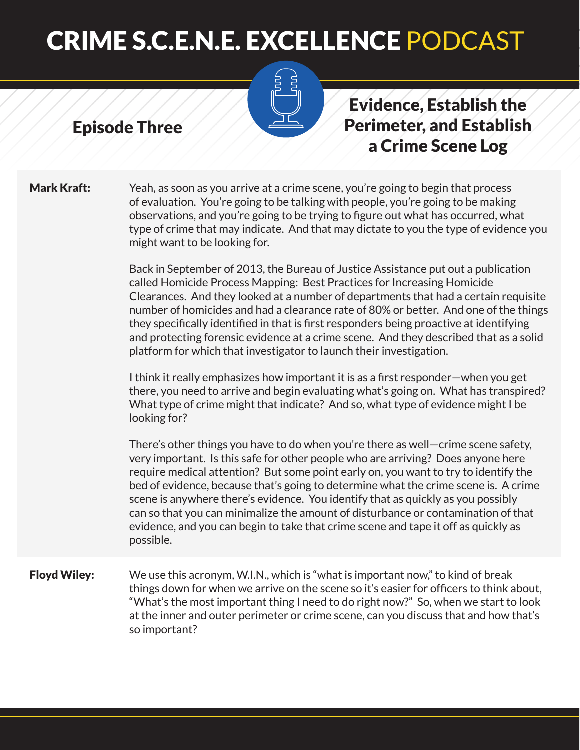## Episode Three

Evidence, Establish the Perimeter, and Establish a Crime Scene Log

Mark Kraft: Yeah, as soon as you arrive at a crime scene, you're going to begin that process of evaluation. You're going to be talking with people, you're going to be making observations, and you're going to be trying to figure out what has occurred, what type of crime that may indicate. And that may dictate to you the type of evidence you might want to be looking for.

> Back in September of 2013, the Bureau of Justice Assistance put out a publication called Homicide Process Mapping: Best Practices for Increasing Homicide Clearances. And they looked at a number of departments that had a certain requisite number of homicides and had a clearance rate of 80% or better. And one of the things they specifically identified in that is first responders being proactive at identifying and protecting forensic evidence at a crime scene. And they described that as a solid platform for which that investigator to launch their investigation.

> I think it really emphasizes how important it is as a first responder—when you get there, you need to arrive and begin evaluating what's going on. What has transpired? What type of crime might that indicate? And so, what type of evidence might I be looking for?

There's other things you have to do when you're there as well—crime scene safety, very important. Is this safe for other people who are arriving? Does anyone here require medical attention? But some point early on, you want to try to identify the bed of evidence, because that's going to determine what the crime scene is. A crime scene is anywhere there's evidence. You identify that as quickly as you possibly can so that you can minimalize the amount of disturbance or contamination of that evidence, and you can begin to take that crime scene and tape it off as quickly as possible.

Floyd Wiley: We use this acronym, W.I.N., which is "what is important now," to kind of break things down for when we arrive on the scene so it's easier for officers to think about, "What's the most important thing I need to do right now?" So, when we start to look at the inner and outer perimeter or crime scene, can you discuss that and how that's so important?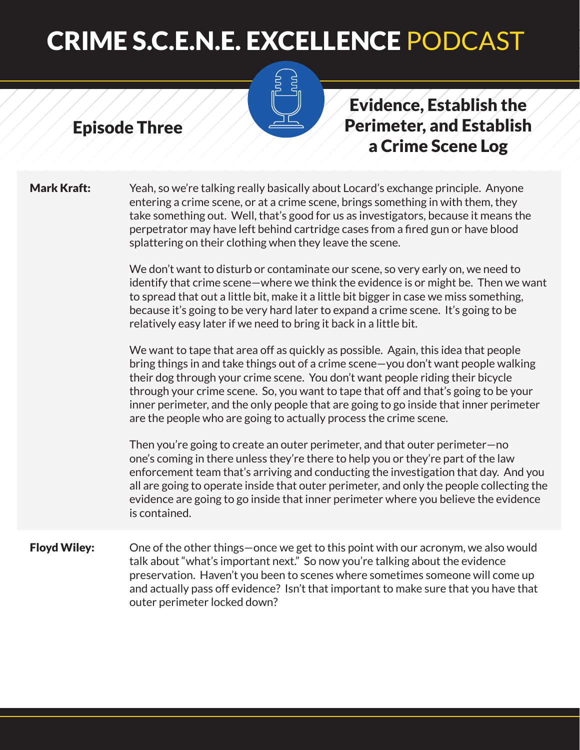### Episode Three

Evidence, Establish the Perimeter, and Establish a Crime Scene Log

#### Mark Kraft: Yeah, so we're talking really basically about Locard's exchange principle. Anyone entering a crime scene, or at a crime scene, brings something in with them, they take something out. Well, that's good for us as investigators, because it means the perpetrator may have left behind cartridge cases from a fired gun or have blood splattering on their clothing when they leave the scene.

We don't want to disturb or contaminate our scene, so very early on, we need to identify that crime scene—where we think the evidence is or might be. Then we want to spread that out a little bit, make it a little bit bigger in case we miss something, because it's going to be very hard later to expand a crime scene. It's going to be relatively easy later if we need to bring it back in a little bit.

We want to tape that area off as quickly as possible. Again, this idea that people bring things in and take things out of a crime scene—you don't want people walking their dog through your crime scene. You don't want people riding their bicycle through your crime scene. So, you want to tape that off and that's going to be your inner perimeter, and the only people that are going to go inside that inner perimeter are the people who are going to actually process the crime scene.

Then you're going to create an outer perimeter, and that outer perimeter—no one's coming in there unless they're there to help you or they're part of the law enforcement team that's arriving and conducting the investigation that day. And you all are going to operate inside that outer perimeter, and only the people collecting the evidence are going to go inside that inner perimeter where you believe the evidence is contained.

Floyd Wiley: One of the other things—once we get to this point with our acronym, we also would talk about "what's important next." So now you're talking about the evidence preservation. Haven't you been to scenes where sometimes someone will come up and actually pass off evidence? Isn't that important to make sure that you have that outer perimeter locked down?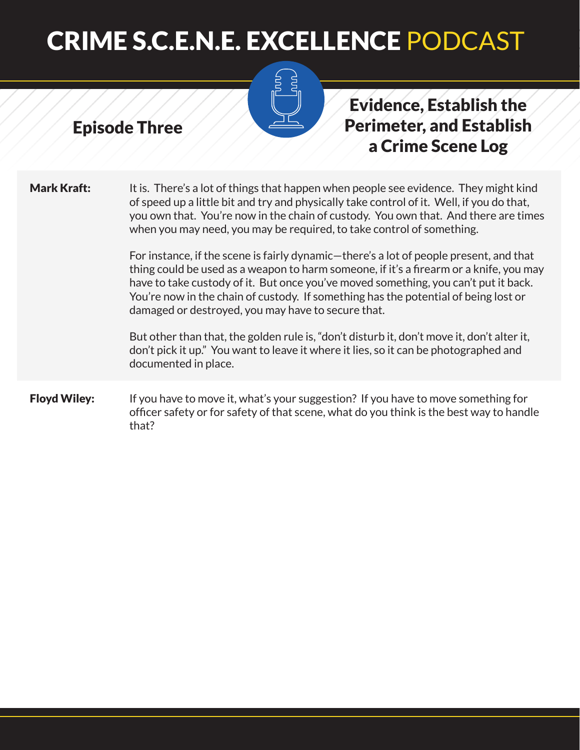

#### Episode Three

Evidence, Establish the Perimeter, and Establish a Crime Scene Log

**Mark Kraft:** It is. There's a lot of things that happen when people see evidence. They might kind of speed up a little bit and try and physically take control of it. Well, if you do that, you own that. You're now in the chain of custody. You own that. And there are times when you may need, you may be required, to take control of something.

> For instance, if the scene is fairly dynamic—there's a lot of people present, and that thing could be used as a weapon to harm someone, if it's a firearm or a knife, you may have to take custody of it. But once you've moved something, you can't put it back. You're now in the chain of custody. If something has the potential of being lost or damaged or destroyed, you may have to secure that.

But other than that, the golden rule is, "don't disturb it, don't move it, don't alter it, don't pick it up." You want to leave it where it lies, so it can be photographed and documented in place.

**Floyd Wiley:** If you have to move it, what's your suggestion? If you have to move something for officer safety or for safety of that scene, what do you think is the best way to handle that?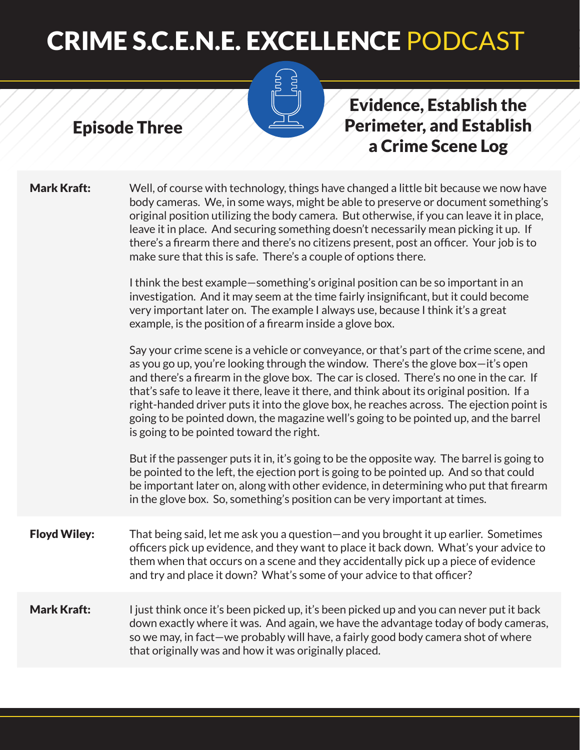#### Episode Three

Evidence, Establish the Perimeter, and Establish a Crime Scene Log

#### Mark Kraft: Well, of course with technology, things have changed a little bit because we now have body cameras. We, in some ways, might be able to preserve or document something's original position utilizing the body camera. But otherwise, if you can leave it in place, leave it in place. And securing something doesn't necessarily mean picking it up. If there's a firearm there and there's no citizens present, post an officer. Your job is to make sure that this is safe. There's a couple of options there.

I think the best example—something's original position can be so important in an investigation. And it may seem at the time fairly insignificant, but it could become very important later on. The example I always use, because I think it's a great example, is the position of a firearm inside a glove box.

Say your crime scene is a vehicle or conveyance, or that's part of the crime scene, and as you go up, you're looking through the window. There's the glove box—it's open and there's a firearm in the glove box. The car is closed. There's no one in the car. If that's safe to leave it there, leave it there, and think about its original position. If a right-handed driver puts it into the glove box, he reaches across. The ejection point is going to be pointed down, the magazine well's going to be pointed up, and the barrel is going to be pointed toward the right.

But if the passenger puts it in, it's going to be the opposite way. The barrel is going to be pointed to the left, the ejection port is going to be pointed up. And so that could be important later on, along with other evidence, in determining who put that firearm in the glove box. So, something's position can be very important at times.

- Floyd Wiley: That being said, let me ask you a question—and you brought it up earlier. Sometimes officers pick up evidence, and they want to place it back down. What's your advice to them when that occurs on a scene and they accidentally pick up a piece of evidence and try and place it down? What's some of your advice to that officer?
- Mark Kraft: I just think once it's been picked up, it's been picked up and you can never put it back down exactly where it was. And again, we have the advantage today of body cameras, so we may, in fact—we probably will have, a fairly good body camera shot of where that originally was and how it was originally placed.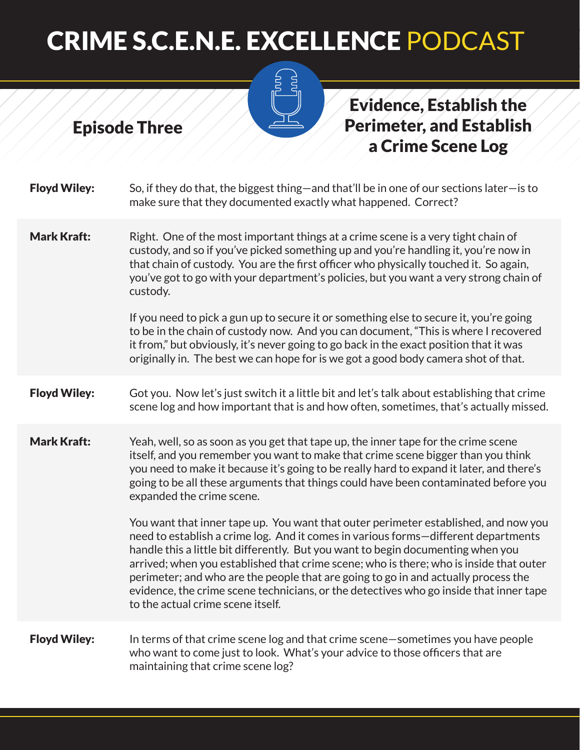

### Episode Three

Evidence, Establish the Perimeter, and Establish a Crime Scene Log

- **Floyd Wiley:** So, if they do that, the biggest thing—and that'll be in one of our sections later—is to make sure that they documented exactly what happened. Correct?
- **Mark Kraft:** Right. One of the most important things at a crime scene is a very tight chain of custody, and so if you've picked something up and you're handling it, you're now in that chain of custody. You are the first officer who physically touched it. So again, you've got to go with your department's policies, but you want a very strong chain of custody.

If you need to pick a gun up to secure it or something else to secure it, you're going to be in the chain of custody now. And you can document, "This is where I recovered it from," but obviously, it's never going to go back in the exact position that it was originally in. The best we can hope for is we got a good body camera shot of that.

- Floyd Wiley: Got you. Now let's just switch it a little bit and let's talk about establishing that crime scene log and how important that is and how often, sometimes, that's actually missed.
- **Mark Kraft:** Yeah, well, so as soon as you get that tape up, the inner tape for the crime scene itself, and you remember you want to make that crime scene bigger than you think you need to make it because it's going to be really hard to expand it later, and there's going to be all these arguments that things could have been contaminated before you expanded the crime scene.

You want that inner tape up. You want that outer perimeter established, and now you need to establish a crime log. And it comes in various forms—different departments handle this a little bit differently. But you want to begin documenting when you arrived; when you established that crime scene; who is there; who is inside that outer perimeter; and who are the people that are going to go in and actually process the evidence, the crime scene technicians, or the detectives who go inside that inner tape to the actual crime scene itself.

**Floyd Wiley:** In terms of that crime scene log and that crime scene—sometimes you have people who want to come just to look. What's your advice to those officers that are maintaining that crime scene log?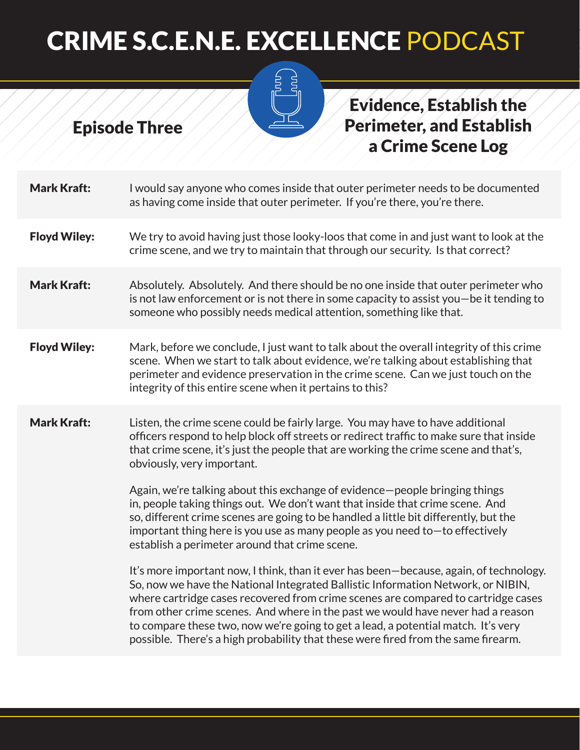

## Episode Three

Evidence, Establish the Perimeter, and Establish a Crime Scene Log

| <b>Mark Kraft:</b>  | I would say anyone who comes inside that outer perimeter needs to be documented<br>as having come inside that outer perimeter. If you're there, you're there.                                                                                                                                                                                                                                                                                                                                                                |
|---------------------|------------------------------------------------------------------------------------------------------------------------------------------------------------------------------------------------------------------------------------------------------------------------------------------------------------------------------------------------------------------------------------------------------------------------------------------------------------------------------------------------------------------------------|
| <b>Floyd Wiley:</b> | We try to avoid having just those looky-loos that come in and just want to look at the<br>crime scene, and we try to maintain that through our security. Is that correct?                                                                                                                                                                                                                                                                                                                                                    |
| <b>Mark Kraft:</b>  | Absolutely. Absolutely. And there should be no one inside that outer perimeter who<br>is not law enforcement or is not there in some capacity to assist you-be it tending to<br>someone who possibly needs medical attention, something like that.                                                                                                                                                                                                                                                                           |
| <b>Floyd Wiley:</b> | Mark, before we conclude, I just want to talk about the overall integrity of this crime<br>scene. When we start to talk about evidence, we're talking about establishing that<br>perimeter and evidence preservation in the crime scene. Can we just touch on the<br>integrity of this entire scene when it pertains to this?                                                                                                                                                                                                |
| <b>Mark Kraft:</b>  | Listen, the crime scene could be fairly large. You may have to have additional<br>officers respond to help block off streets or redirect traffic to make sure that inside<br>that crime scene, it's just the people that are working the crime scene and that's,<br>obviously, very important.                                                                                                                                                                                                                               |
|                     | Again, we're talking about this exchange of evidence-people bringing things<br>in, people taking things out. We don't want that inside that crime scene. And<br>so, different crime scenes are going to be handled a little bit differently, but the<br>important thing here is you use as many people as you need to-to effectively<br>establish a perimeter around that crime scene.                                                                                                                                       |
|                     | It's more important now, I think, than it ever has been-because, again, of technology.<br>So, now we have the National Integrated Ballistic Information Network, or NIBIN,<br>where cartridge cases recovered from crime scenes are compared to cartridge cases<br>from other crime scenes. And where in the past we would have never had a reason<br>to compare these two, now we're going to get a lead, a potential match. It's very<br>possible. There's a high probability that these were fired from the same firearm. |
|                     |                                                                                                                                                                                                                                                                                                                                                                                                                                                                                                                              |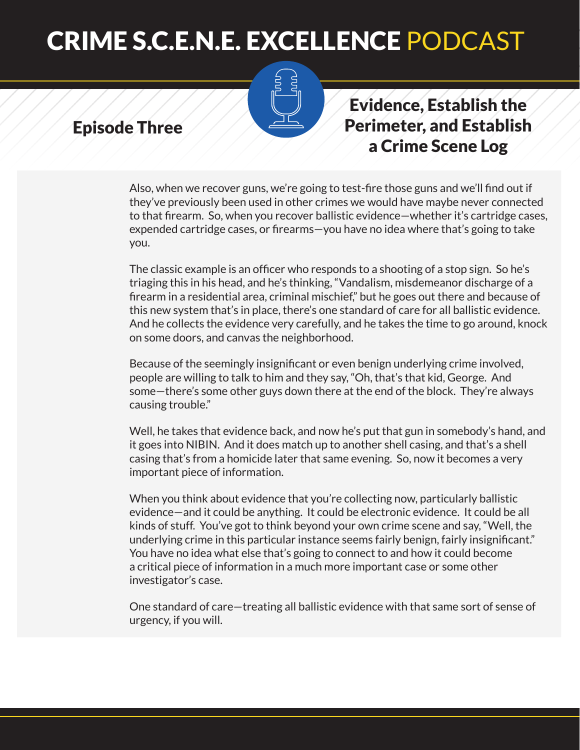#### Episode Three



## Evidence, Establish the Perimeter, and Establish a Crime Scene Log

Also, when we recover guns, we're going to test-fire those guns and we'll find out if they've previously been used in other crimes we would have maybe never connected to that firearm. So, when you recover ballistic evidence—whether it's cartridge cases, expended cartridge cases, or firearms—you have no idea where that's going to take you.

The classic example is an officer who responds to a shooting of a stop sign. So he's triaging this in his head, and he's thinking, "Vandalism, misdemeanor discharge of a firearm in a residential area, criminal mischief," but he goes out there and because of this new system that's in place, there's one standard of care for all ballistic evidence. And he collects the evidence very carefully, and he takes the time to go around, knock on some doors, and canvas the neighborhood.

Because of the seemingly insignificant or even benign underlying crime involved, people are willing to talk to him and they say, "Oh, that's that kid, George. And some—there's some other guys down there at the end of the block. They're always causing trouble."

Well, he takes that evidence back, and now he's put that gun in somebody's hand, and it goes into NIBIN. And it does match up to another shell casing, and that's a shell casing that's from a homicide later that same evening. So, now it becomes a very important piece of information.

When you think about evidence that you're collecting now, particularly ballistic evidence—and it could be anything. It could be electronic evidence. It could be all kinds of stuff. You've got to think beyond your own crime scene and say, "Well, the underlying crime in this particular instance seems fairly benign, fairly insignificant." You have no idea what else that's going to connect to and how it could become a critical piece of information in a much more important case or some other investigator's case.

One standard of care—treating all ballistic evidence with that same sort of sense of urgency, if you will.